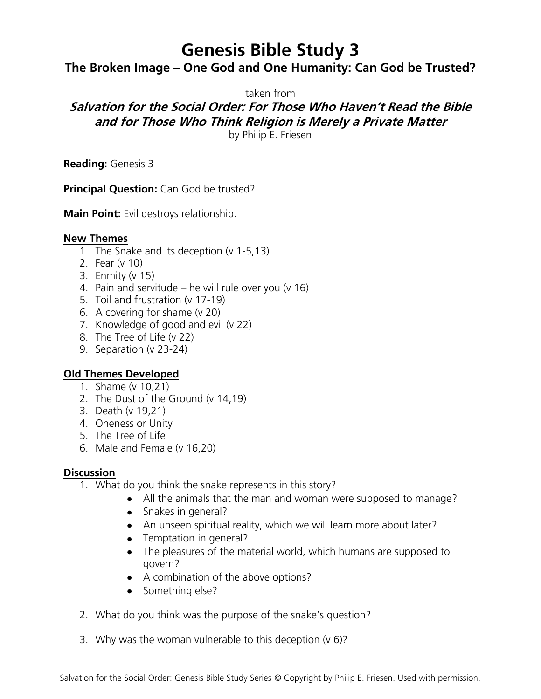# **Genesis Bible Study 3**

## **The Broken Image – One God and One Humanity: Can God be Trusted?**

taken from

## **Salvation for the Social Order: For Those Who Haven't Read the Bible and for Those Who Think Religion is Merely a Private Matter**

by Philip E. Friesen

**Reading:** Genesis 3

**Principal Question:** Can God be trusted?

**Main Point:** Evil destroys relationship.

#### **New Themes**

- 1. The Snake and its deception (v 1-5,13)
- 2. Fear (v 10)
- 3. Enmity (v 15)
- 4. Pain and servitude he will rule over you (v 16)
- 5. Toil and frustration (v 17-19)
- 6. A covering for shame (v 20)
- 7. Knowledge of good and evil (v 22)
- 8. The Tree of Life (v 22)
- 9. Separation (v 23-24)

### **Old Themes Developed**

- 1. Shame (v 10,21)
- 2. The Dust of the Ground (v 14,19)
- 3. Death (v 19,21)
- 4. Oneness or Unity
- 5. The Tree of Life
- 6. Male and Female (v 16,20)

### **Discussion**

- 1. What do you think the snake represents in this story?
	- All the animals that the man and woman were supposed to manage?
	- Snakes in general?
	- An unseen spiritual reality, which we will learn more about later?
	- Temptation in general?
	- The pleasures of the material world, which humans are supposed to govern?
	- A combination of the above options?
	- Something else?
- 2. What do you think was the purpose of the snake's question?
- 3. Why was the woman vulnerable to this deception (v 6)?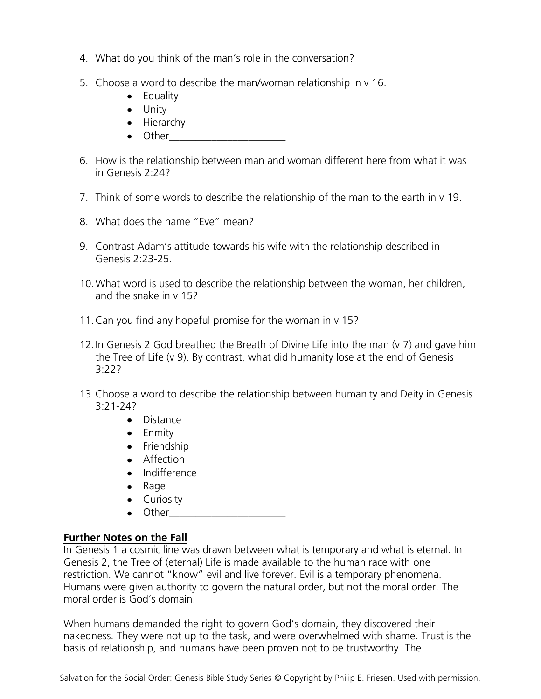- 4. What do you think of the man's role in the conversation?
- 5. Choose a word to describe the man/woman relationship in v 16.
	- Equality
	- Unity
	- Hierarchy
	- $\bullet$  Other
- 6. How is the relationship between man and woman different here from what it was in Genesis 2:24?
- 7. Think of some words to describe the relationship of the man to the earth in v 19.
- 8. What does the name "Eve" mean?
- 9. Contrast Adam's attitude towards his wife with the relationship described in Genesis 2:23-25.
- 10.What word is used to describe the relationship between the woman, her children, and the snake in v 15?
- 11.Can you find any hopeful promise for the woman in v 15?
- 12.In Genesis 2 God breathed the Breath of Divine Life into the man (v 7) and gave him the Tree of Life (v 9). By contrast, what did humanity lose at the end of Genesis 3:22?
- 13.Choose a word to describe the relationship between humanity and Deity in Genesis  $3:21-242$ 
	- Distance
	- Enmity
	- Friendship
	- Affection
	- Indifference
	- $\bullet$  Rage
	- Curiosity
	- $\bullet$  Other

#### **Further Notes on the Fall**

In Genesis 1 a cosmic line was drawn between what is temporary and what is eternal. In Genesis 2, the Tree of (eternal) Life is made available to the human race with one restriction. We cannot "know" evil and live forever. Evil is a temporary phenomena. Humans were given authority to govern the natural order, but not the moral order. The moral order is God's domain.

When humans demanded the right to govern God's domain, they discovered their nakedness. They were not up to the task, and were overwhelmed with shame. Trust is the basis of relationship, and humans have been proven not to be trustworthy. The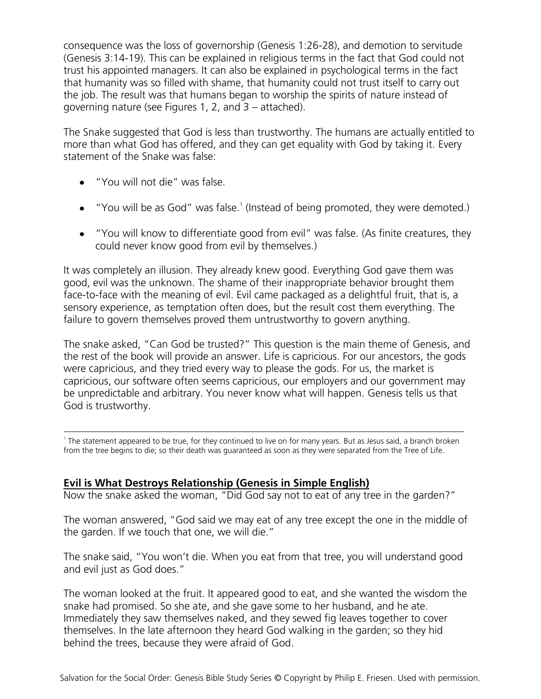consequence was the loss of governorship (Genesis 1:26-28), and demotion to servitude (Genesis 3:14-19). This can be explained in religious terms in the fact that God could not trust his appointed managers. It can also be explained in psychological terms in the fact that humanity was so filled with shame, that humanity could not trust itself to carry out the job. The result was that humans began to worship the spirits of nature instead of governing nature (see Figures 1, 2, and 3 – attached).

The Snake suggested that God is less than trustworthy. The humans are actually entitled to more than what God has offered, and they can get equality with God by taking it. Every statement of the Snake was false:

- "You will not die" was false.
- "You will be as God" was false.<sup>1</sup> (Instead of being promoted, they were demoted.)
- "You will know to differentiate good from evil" was false. (As finite creatures, they could never know good from evil by themselves.)

It was completely an illusion. They already knew good. Everything God gave them was good, evil was the unknown. The shame of their inappropriate behavior brought them face-to-face with the meaning of evil. Evil came packaged as a delightful fruit, that is, a sensory experience, as temptation often does, but the result cost them everything. The failure to govern themselves proved them untrustworthy to govern anything.

The snake asked, "Can God be trusted?" This question is the main theme of Genesis, and the rest of the book will provide an answer. Life is capricious. For our ancestors, the gods were capricious, and they tried every way to please the gods. For us, the market is capricious, our software often seems capricious, our employers and our government may be unpredictable and arbitrary. You never know what will happen. Genesis tells us that God is trustworthy.

1 The statement appeared to be true, for they continued to live on for many years. But as Jesus said, a branch broken from the tree begins to die; so their death was guaranteed as soon as they were separated from the Tree of Life.

### **Evil is What Destroys Relationship (Genesis in Simple English)**

Now the snake asked the woman, "Did God say not to eat of any tree in the garden?"

The woman answered, "God said we may eat of any tree except the one in the middle of the garden. If we touch that one, we will die."

The snake said, "You won't die. When you eat from that tree, you will understand good and evil just as God does."

The woman looked at the fruit. It appeared good to eat, and she wanted the wisdom the snake had promised. So she ate, and she gave some to her husband, and he ate. Immediately they saw themselves naked, and they sewed fig leaves together to cover themselves. In the late afternoon they heard God walking in the garden; so they hid behind the trees, because they were afraid of God.